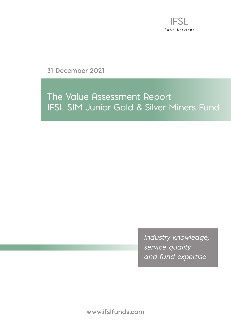

**31 December 2021**

# The Value Assessment Report IFSL SIM Junior Gold & Silver Miners Fund

*Industry knowledge, service quality and fund expertise*

**www.ifslfunds.com**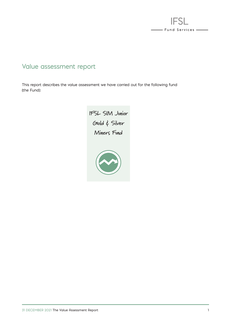

### Value assessment report

This report describes the value assessment we have carried out for the following fund (the Fund):

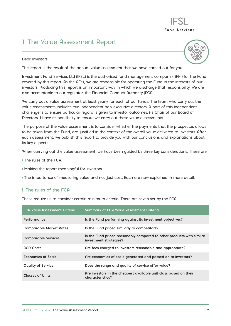# 1. The Value Assessment Report

#### Dear Investors,



- Fund Services -

This report is the result of the annual value assessment that we have carried out for you.

Investment Fund Services Ltd (IFSL) is the authorised fund management company (AFM) for the Fund covered by this report. As the AFM, we are responsible for operating the Fund in the interests of our investors. Producing this report is an important way in which we discharge that responsibility. We are also accountable to our regulator, the Financial Conduct Authority (FCA).

We carry out a value assessment at least yearly for each of our funds. The team who carry out the value assessments includes two independent non-executive directors. A part of this independent challenge is to ensure particular regard is given to investor outcomes. As Chair of our Board of Directors, I have responsibility to ensure we carry out these value assessments.

The purpose of the value assessment is to consider whether the payments that the prospectus allows to be taken from the Fund, are justified in the context of the overall value delivered to investors. After each assessment, we publish this report to provide you with our conclusions and explanations about its key aspects.

When carrying out the value assessment, we have been guided by three key considerations. These are:

- The rules of the FCA.
- Making the report meaningful for investors.
- The importance of measuring value and not just cost. Each are now explained in more detail.

#### **I. The rules of the FCA**

These require us to consider certain minimum criteria. There are seven set by the FCA.

| <b>FCA Value Assessment Criteria</b> | <b>Summary of FCA Value Assessment Criteria</b>                                                 |
|--------------------------------------|-------------------------------------------------------------------------------------------------|
| Performance                          | Is the Fund performing against its investment objectives?                                       |
| <b>Comparable Market Rates</b>       | Is the Fund priced similarly to competitors?                                                    |
| <b>Comparable Services</b>           | Is the Fund priced reasonably compared to other products with similar<br>investment strategies? |
| <b>ACD Costs</b>                     | Are fees charged to investors reasonable and appropriate?                                       |
| <b>Economies of Scale</b>            | Are economies of scale generated and passed on to investors?                                    |
| <b>Quality of Service</b>            | Does the range and quality of service offer value?                                              |
| Classes of Units                     | Are investors in the cheapest available unit class based on their<br>characteristics?           |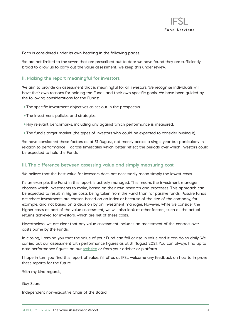

Each is considered under its own heading in the following pages.

We are not limited to the seven that are prescribed but to date we have found they are sufficiently broad to allow us to carry out the value assessment. We keep this under review.

#### **II. Making the report meaningful for investors**

We aim to provide an assessment that is meaningful for all investors. We recognise individuals will have their own reasons for holding the Funds and their own specific goals. We have been guided by the following considerations for the Funds:

- The specific investment objectives as set out in the prospectus.
- The investment policies and strategies.
- Any relevant benchmarks, including any against which performance is measured.
- The fund's target market (the types of investors who could be expected to consider buying it).

We have considered these factors as at 31 August, not merely across a single year but particularly in relation to performance — across timescales which better reflect the periods over which investors could be expected to hold the Funds.

#### **III. The difference between assessing value and simply measuring cost**

We believe that the best value for investors does not necessarily mean simply the lowest costs.

As an example, the Fund in this report is actively managed. This means the investment manager chooses which investments to make, based on their own research and processes. This approach can be expected to result in higher costs being taken from the Fund than for passive funds. Passive funds are where investments are chosen based on an index or because of the size of the company, for example, and not based on a decision by an investment manager. However, while we consider the higher costs as part of the value assessment, we will also look at other factors, such as the actual returns achieved for investors, which are net of these costs.

Nevertheless, we are clear that any value assessment includes an assessment of the controls over costs borne by the Funds.

In closing, I remind you that the value of your Fund can fall or rise in value and it can do so daily. We carried out our assessment with performance figures as at 31 August 2021. You can always find up to date performance figures on our **[website](https://ifslfunds.com/)** or from your adviser or platform.

I hope in turn you find this report of value. All of us at IFSL welcome any feedback on how to improve these reports for the future.

With my kind regards,

Guy Sears

Independent non-executive Chair of the Board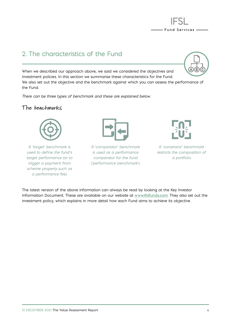

### 2. The characteristics of the Fund

When we described our approach above, we said we considered the objectives and investment policies. In this section we summarise these characteristics for the Fund. We also set out the objective and the benchmark against which you can assess the performance of the Fund.

*There can be three types of benchmark and these are explained below.*

#### **The benchmarks**



*A 'target' benchmark is used to define the fund's target performance (or to trigger a payment from scheme property such as a performance fee).*



*A 'comparator' benchmark is used as a performance comparator for the fund ('performance benchmark').*





*A 'constraint' benchmark restricts the composition of a portfolio*

The latest version of the above information can always be read by looking at the Key Investor Information Document. These are available on our website at **[www.ifslfunds.com](http://www.ifslfunds.com)**. They also set out the investment policy, which explains in more detail how each Fund aims to achieve its objective.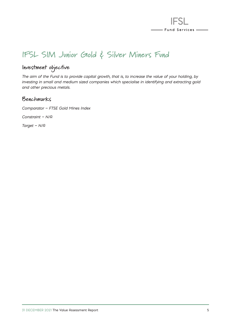

# **IFSL SIM Junior Gold & Silver Miners Fund**

### **Investment objective**

*The aim of the Fund is to provide capital growth, that is, to increase the value of your holding, by investing in small and medium sized companies which specialise in identifying and extracting gold and other precious metals.*

### **Benchmarks**

*Comparator — FTSE Gold Mines Index*

*Constraint — N/A*

*Target — N/A*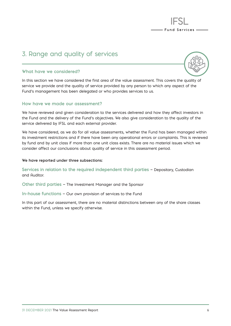### 3. Range and quality of services

#### **What have we considered?**



- Fund Services —

In this section we have considered the first area of the value assessment. This covers the quality of service we provide and the quality of service provided by any person to which any aspect of the Fund's management has been delegated or who provides services to us.

#### **How have we made our assessment?**

We have reviewed and given consideration to the services delivered and how they affect investors in the Fund and the delivery of the Fund's objectives. We also give consideration to the quality of the service delivered by IFSL and each external provider.

We have considered, as we do for all value assessments, whether the Fund has been managed within its investment restrictions and if there have been any operational errors or complaints. This is reviewed by fund and by unit class if more than one unit class exists. There are no material issues which we consider affect our conclusions about quality of service in this assessment period.

#### **We have reported under three subsections:**

Services in relation to the required independent third parties - Depositary, Custodian and Auditor.

**Other third parties** — The Investment Manager and the Sponsor

**In-house functions** — Our own provision of services to the Fund

In this part of our assessment, there are no material distinctions between any of the share classes within the Fund, unless we specify otherwise.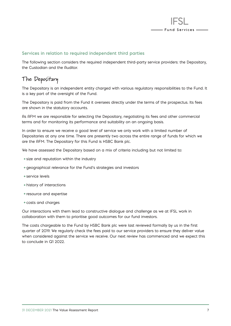

#### **Services in relation to required independent third parties**

The following section considers the required independent third-party service providers: the Depositary, the Custodian and the Auditor.

### **The Depositary**

The Depositary is an independent entity charged with various regulatory responsibilities to the Fund. It is a key part of the oversight of the Fund.

The Depositary is paid from the Fund it oversees directly under the terms of the prospectus. Its fees are shown in the statutory accounts.

As AFM we are responsible for selecting the Depositary, negotiating its fees and other commercial terms and for monitoring its performance and suitability on an ongoing basis.

In order to ensure we receive a good level of service we only work with a limited number of Depositaries at any one time. There are presently two across the entire range of funds for which we are the AFM. The Depositary for this Fund is HSBC Bank plc.

We have assessed the Depositary based on a mix of criteria including but not limited to:

- size and reputation within the industry
- geographical relevance for the Fund's strategies and investors
- service levels
- history of interactions
- resource and expertise
- costs and charges

Our interactions with them lead to constructive dialogue and challenge as we at IFSL work in collaboration with them to prioritise good outcomes for our fund investors.

The costs chargeable to the Fund by HSBC Bank plc were last reviewed formally by us in the first quarter of 2019. We regularly check the fees paid to our service providers to ensure they deliver value when considered against the service we receive. Our next review has commenced and we expect this to conclude in Q1 2022.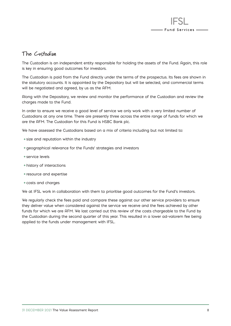

### **The Custodian**

The Custodian is an independent entity responsible for holding the assets of the Fund. Again, this role is key in ensuring good outcomes for investors.

The Custodian is paid from the Fund directly under the terms of the prospectus. Its fees are shown in the statutory accounts. It is appointed by the Depositary but will be selected, and commercial terms will be negotiated and agreed, by us as the AFM.

Along with the Depositary, we review and monitor the performance of the Custodian and review the charges made to the Fund.

In order to ensure we receive a good level of service we only work with a very limited number of Custodians at any one time. There are presently three across the entire range of funds for which we are the AFM. The Custodian for this Fund is HSBC Bank plc.

We have assessed the Custodians based on a mix of criteria including but not limited to:

- size and reputation within the industry
- geographical relevance for the Funds' strategies and investors
- service levels
- history of interactions
- resource and expertise
- costs and charges

We at IFSL work in collaboration with them to prioritise good outcomes for the Fund's investors.

We regularly check the fees paid and compare these against our other service providers to ensure they deliver value when considered against the service we receive and the fees achieved by other funds for which we are AFM. We last carried out this review of the costs chargeable to the Fund by the Custodian during the second quarter of this year. This resulted in a lower ad-valorem fee being applied to the funds under management with IFSL.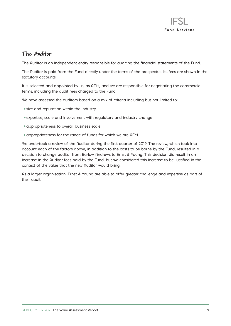

### **The Auditor**

The Auditor is an independent entity responsible for auditing the financial statements of the Fund.

The Auditor is paid from the Fund directly under the terms of the prospectus. Its fees are shown in the statutory accounts..

It is selected and appointed by us, as AFM, and we are responsible for negotiating the commercial terms, including the audit fees charged to the Fund.

We have assessed the auditors based on a mix of criteria including but not limited to:

- size and reputation within the industry
- expertise, scale and involvement with regulatory and industry change
- appropriateness to overall business scale
- appropriateness for the range of funds for which we are AFM.

We undertook a review of the Auditor during the first quarter of 2019. The review, which took into account each of the factors above, in addition to the costs to be borne by the Fund, resulted in a decision to change auditor from Barlow Andrews to Ernst & Young. This decision did result in an increase in the Auditor fees paid by the Fund, but we considered this increase to be justified in the context of the value that the new Auditor would bring.

As a larger organisation, Ernst & Young are able to offer greater challenge and expertise as part of their audit.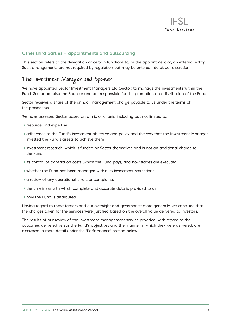

#### **Other third parties — appointments and outsourcing**

This section refers to the delegation of certain functions to, or the appointment of, an external entity. Such arrangements are not required by regulation but may be entered into at our discretion.

### **The Investment Manager and Sponsor**

We have appointed Sector Investment Managers Ltd (Sector) to manage the investments within the Fund. Sector are also the Sponsor and are responsible for the promotion and distribution of the Fund.

Sector receives a share of the annual management charge payable to us under the terms of the prospectus.

We have assessed Sector based on a mix of criteria including but not limited to:

- resource and expertise
- adherence to the Fund's investment objective and policy and the way that the Investment Manager invested the Fund's assets to achieve them
- investment research, which is funded by Sector themselves and is not an additional charge to the Fund
- its control of transaction costs (which the Fund pays) and how trades are executed
- whether the Fund has been managed within its investment restrictions
- a review of any operational errors or complaints
- the timeliness with which complete and accurate data is provided to us
- how the Fund is distributed

Having regard to these factors and our oversight and governance more generally, we conclude that the charges taken for the services were justified based on the overall value delivered to investors.

The results of our review of the investment management service provided, with regard to the outcomes delivered versus the Fund's objectives and the manner in which they were delivered, are discussed in more detail under the 'Performance' section below.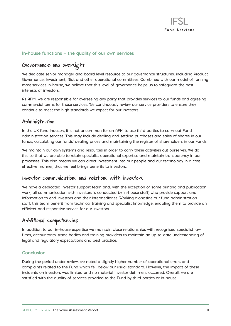

#### **In-house functions — the quality of our own services**

## **Governance and oversight**

We dedicate senior manager and board level resource to our governance structures, including Product Governance, Investment, Risk and other operational committees. Combined with our model of running most services in-house, we believe that this level of governance helps us to safeguard the best interests of investors.

As AFM, we are responsible for overseeing any party that provides services to our funds and agreeing commercial terms for those services. We continuously review our service providers to ensure they continue to meet the high standards we expect for our investors.

#### **Administration**

In the UK fund industry, it is not uncommon for an AFM to use third parties to carry out Fund administration services. This may include dealing and settling purchases and sales of shares in our funds, calculating our funds' dealing prices and maintaining the register of shareholders in our Funds.

We maintain our own systems and resources in order to carry these activities out ourselves. We do this so that we are able to retain specialist operational expertise and maintain transparency in our processes. This also means we can direct investment into our people and our technology in a cost effective manner, that we feel brings benefits to investors.

#### **Investor communications and relations with investors**

We have a dedicated investor support team and, with the exception of some printing and publication work, all communication with investors is conducted by in-house staff, who provide support and information to end investors and their intermediaries. Working alongside our fund administration staff, this team benefit from technical training and specialist knowledge, enabling them to provide an efficient and responsive service for our investors.

### **Additional competencies**

In addition to our in-house expertise we maintain close relationships with recognised specialist law firms, accountants, trade bodies and training providers to maintain an up-to-date understanding of legal and regulatory expectations and best practice.

#### **Conclusion**

During the period under review, we noted a slightly higher number of operational errors and complaints related to the Fund which fell below our usual standard. However, the impact of these incidents on investors was limited and no material investor detriment occurred. Overall, we are satisfied with the quality of services provided to the Fund by third parties or in-house.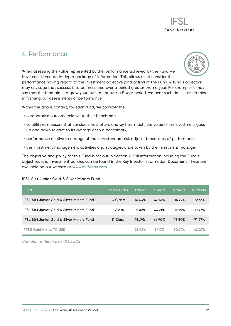

### 4. Performance



When assessing the value represented by the performance achieved by the Fund we have considered an in depth package of information. This allows us to consider the performance having regard to the investment objective (and policy) of the Fund. A fund's objective may envisage that success is to be measured over a period greater than a year. For example, it may say that the fund aims to grow your investment over a 5 year period. We bear such timescales in mind in forming our assessments of performance.

Within the above context, for each fund, we consider the:

- comparative outcome relative to their benchmark
- volatility (a measure that considers how often, and by how much, the value of an investment goes up and down relative to its average or to a benchmark)
- performance relative to a range of industry standard risk adjusted measures of performance
- the investment management activities and strategies undertaken by the investment manager

The objective and policy for this Fund is set out in Section 2. Full information including the Fund's objectives and investment policies can be found in the Key Investor Information Document. These are available on our website at **[www.ifslfunds.com](http://www.ifslfunds.com)**.

#### **IFSL SIM Junior Gold & Silver Miners Fund**

| Fund                                                 | <b>Share Class</b> | - 1 Year  | 3 Years       | 5 Years   | 10 Years  |
|------------------------------------------------------|--------------------|-----------|---------------|-----------|-----------|
| <b>IFSL SIM Junior Gold &amp; Silver Miners Fund</b> | C Class:           | $-16.04%$ | <b>42.10%</b> | $-16.27%$ | $-72.68%$ |
| <b>IFSL SIM Junior Gold &amp; Silver Miners Fund</b> | I Class            | $-15.82%$ | <b>43.21%</b> | $-15.19%$ | $-71.97%$ |
| <b>IFSL SIM Junior Gold &amp; Silver Miners Fund</b> | P Class            | $-15.49%$ | 44.90%        | $-13.50%$ | $-71.27%$ |
| <b>FTSE Gold Mines TR USD</b>                        |                    | $-25.92%$ | 81.17%        | 30.74%    | $-42.07%$ |

*Cumulative Returns as 31.08.2021*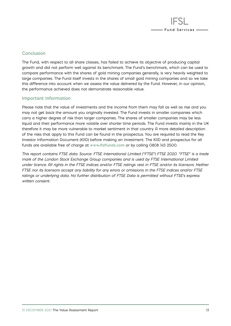

#### **Conclusion**

The Fund, with respect to all share classes, has failed to achieve its objective of producing capital growth and did not perform well against its benchmark. The Fund's benchmark, which can be used to compare performance with the shares of gold mining companies generally, is very heavily weighted to large companies. The Fund itself invests in the shares of small gold mining companies and so we take this difference into account when we assess the value delivered by the Fund. However, in our opinion, the performance achieved does not demonstrate reasonable value.

#### **Important Information**

Please note that the value of investments and the income from them may fall as well as rise and you may not get back the amount you originally invested. The Fund invests in smaller companies which carry a higher degree of risk than larger companies. The shares of smaller companies may be less liquid and their performance more volatile over shorter time periods. The Fund invests mainly in the UK therefore it may be more vulnerable to market sentiment in that country. A more detailed description of the risks that apply to this Fund can be found in the prospectus. You are required to read the Key Investor Information Document (KIID) before making an investment. The KIID and prospectus for all funds are available free of charge at **[www.ifslfunds.com](http://www.ifslfunds.com)** or by calling 0808 145 2500.

*This report contains FTSE data. Source: FTSE International Limited ("FTSE") FTSE 2020. "FTSE" is a trade mark of the London Stock Exchange Group companies and is used by FTSE International Limited under licence. All rights in the FTSE indices and/or FTSE ratings vest in FTSE and/or its licensors. Neither FTSE nor its licensors accept any liability for any errors or omissions in the FTSE indices and/or FTSE ratings or underlying data. No further distribution of FTSE Data is permitted without FTSE's express written consent.*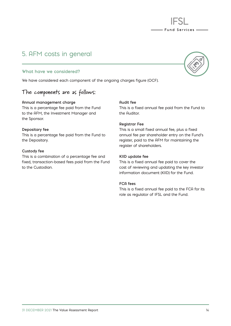#### 31 DECEMBER 2021 The Value Assessment Report 14

### 5. AFM costs in general

#### **What have we considered?**

We have considered each component of the ongoing charges figure (OCF).

### **The components are as follows:**

#### **Annual management charge**

This is a percentage fee paid from the Fund to the AFM, the Investment Manager and the Sponsor.

#### **Depositary fee**

This is a percentage fee paid from the Fund to the Depositary.

#### **Custody fee**

This is a combination of a percentage fee and fixed, transaction-based fees paid from the Fund to the Custodian.

#### **Audit fee**

This is a fixed annual fee paid from the Fund to the Auditor.

#### **Registrar Fee**

This is a small fixed annual fee, plus a fixed annual fee per shareholder entry on the Fund's register, paid to the AFM for maintaining the register of shareholders.

#### **KIID update fee**

This is a fixed annual fee paid to cover the cost of reviewing and updating the key investor information document (KIID) for the Fund.

#### **FCA fees**

This is a fixed annual fee paid to the FCA for its role as regulator of IFSL and the Fund.



- Fund Services —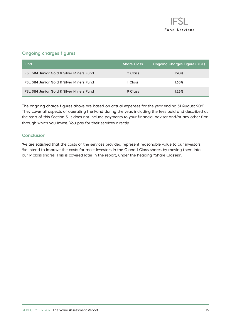

#### **Ongoing charges figures**

| l Fund                                               | <b>Share Class</b> | <b>Ongoing Charges Figure (OCF)</b> |
|------------------------------------------------------|--------------------|-------------------------------------|
| <b>IFSL SIM Junior Gold &amp; Silver Miners Fund</b> | C Class            | 1.90%                               |
| <b>IFSL SIM Junior Gold &amp; Silver Miners Fund</b> | I Class            | 1.65%                               |
| <b>IFSL SIM Junior Gold &amp; Silver Miners Fund</b> | P Class            | 1.25%                               |

The ongoing charge figures above are based on actual expenses for the year ending 31 August 2021. They cover all aspects of operating the Fund during the year, including the fees paid and described at the start of this Section 5. It does not include payments to your financial adviser and/or any other firm through which you invest. You pay for their services directly.

#### **Conclusion**

We are satisfied that the costs of the services provided represent reasonable value to our investors. We intend to improve the costs for most investors in the C and I Class shares by moving them into our P class shares. This is covered later in the report, under the heading "Share Classes".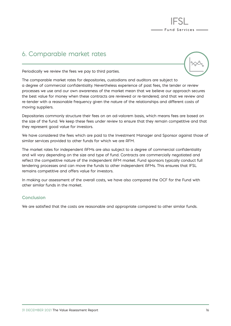### 6. Comparable market rates



- Fund Services -

Periodically we review the fees we pay to third parties.

The comparable market rates for depositories, custodians and auditors are subject to a degree of commercial confidentiality. Nevertheless experience of past fees, the tender or review processes we use and our own awareness of the market mean that we believe our approach secures the best value for money when these contracts are reviewed or re-tendered; and that we review and re-tender with a reasonable frequency given the nature of the relationships and different costs of moving suppliers.

Depositaries commonly structure their fees on an ad-valorem basis, which means fees are based on the size of the fund. We keep these fees under review to ensure that they remain competitive and that they represent good value for investors.

We have considered the fees which are paid to the Investment Manager and Sponsor against those of similar services provided to other funds for which we are AFM.

The market rates for independent AFMs are also subject to a degree of commercial confidentiality and will vary depending on the size and type of fund. Contracts are commercially negotiated and reflect the competitive nature of the independent AFM market. Fund sponsors typically conduct full tendering processes and can move the funds to other independent AFMs. This ensures that IFSL remains competitive and offers value for investors.

In making our assessment of the overall costs, we have also compared the OCF for the Fund with other similar funds in the market.

#### **Conclusion**

We are satisfied that the costs are reasonable and appropriate compared to other similar funds.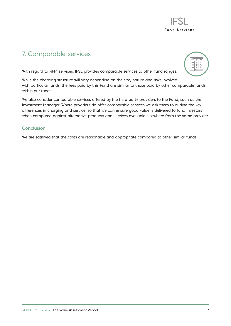

### 7. Comparable services



With regard to AFM services, IFSL provides comparable services to other fund ranges.

While the charging structure will vary depending on the size, nature and risks involved with particular funds, the fees paid by this Fund are similar to those paid by other comparable funds within our range.

We also consider comparable services offered by the third party providers to the Fund, such as the Investment Manager. Where providers do offer comparable services we ask them to outline the key differences in charging and service, so that we can ensure good value is delivered to fund investors when compared against alternative products and services available elsewhere from the same provider.

#### **Conclusion**

We are satisfied that the costs are reasonable and appropriate compared to other similar funds.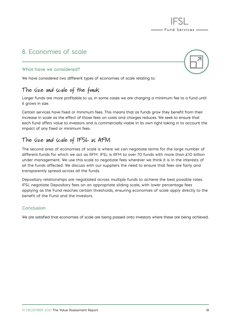### 8. Economies of scale





- Fund Services —

We have considered two different types of economies of scale relating to:

### **The size and scale of the funds**

Larger funds are more profitable to us, in some cases we are charging a minimum fee to a fund until it grows in size.

Certain services have fixed or minimum fees. This means that as funds grow they benefit from their increase in scale as the effect of those fees on costs and charges reduces. We seek to ensure that each fund offers value to investors and is commercially viable in its own right taking in to account the impact of any fixed or minimum fees.

### **The size and scale of IFSL as AFM**

The second area of economies of scale is where we can negotiate terms for the large number of different funds for which we act as AFM. IFSL is AFM to over 70 funds with more than £10 billion under management. We use this scale to negotiate fees wherever we think it is in the interests of all the funds affected. We discuss with our suppliers the need to ensure that fees are fairly and transparently spread across all the funds.

Depositary relationships are negotiated across multiple funds to achieve the best possible rates. IFSL negotiate Depositary fees on an appropriate sliding scale, with lower percentage fees applying as the Fund reaches certain thresholds, ensuring economies of scale apply directly to the benefit of the Fund and the investors.

#### **Conclusion**

We are satisfied that economies of scale are being passed onto investors where these are being achieved.